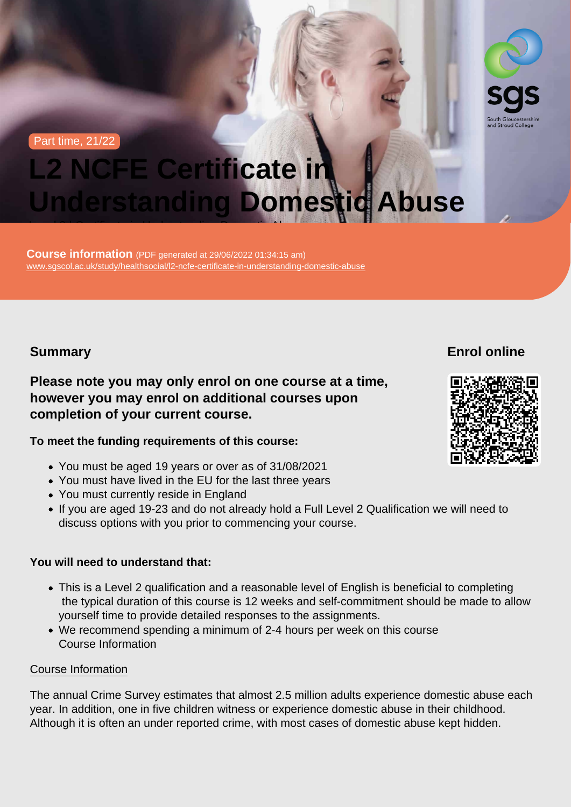Part time, 21/22

# L2 NCFE Certificate in Understanding Domestic Abuse Level 2 | Certificate in Understanding Domestic Abuse

Course information (PDF generated at 29/06/2022 01:34:15 am) [www.sgscol.ac.uk/study/healthsocial/l2-ncfe-certificate-in-understanding-domestic-abuse](https://www.sgscol.ac.uk/study/healthsocial/l2-ncfe-certificate-in-understanding-domestic-abuse)

Summary

Enrol online

Please note you may only enrol on one course at a time, however you may enrol on additional courses upon completion of your current course.

To meet the funding requirements of this course:

- You must be aged 19 years or over as of 31/08/2021
- You must have lived in the EU for the last three years
- You must currently reside in England
- If you are aged 19-23 and do not already hold a Full Level 2 Qualification we will need to discuss options with you prior to commencing your course.

You will need to understand that:

- This is a Level 2 qualification and a reasonable level of English is beneficial to completing the typical duration of this course is 12 weeks and self-commitment should be made to allow yourself time to provide detailed responses to the assignments.
- We recommend spending a minimum of 2-4 hours per week on this course Course Information

#### Course Information

The annual Crime Survey estimates that almost 2.5 million adults experience domestic abuse each year. In addition, one in five children witness or experience domestic abuse in their childhood. Although it is often an under reported crime, with most cases of domestic abuse kept hidden.